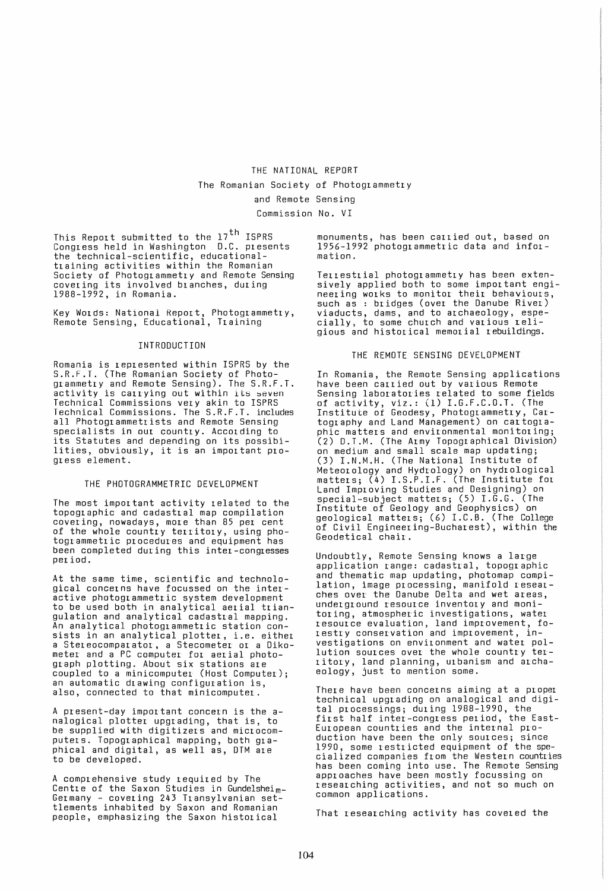The Romanian Society of Photogrammetry

and Remote Sensing

Commission No. VI

This Report submitted to the 17<sup>th</sup> ISPRS Congress held in Washington D.C. presents the technical-scientific, educationaltraining activities within the Romanian Society of Photogrammetry and Remote Sensing covering its involved branches, during 1988-1992, in Romania.

Key Words: National Report, Photogrammetry, Remote Sensing, Educational, Training

### INTRODUCTION

Romania is represented within ISPRS by the S.R.F.T. (The Romanian Society of Photogrammetry and Remote Sensing). The S.R.F.T. activity is carrying out within its seven Technical Commissions very akin to ISPRS Technical Commissions. The S.R.F.T. includes all Photogrammetrists and Remote Sensing specialists in our country. According to its Statutes and depending on its possibilities, obviously, it is an important progress element.

# THE PHOTOGRAMMETRIC DEVELOPMENT

The most important activity related to the topographic and cadastral map compilation covering, nowadays, more than 85 per cent of the whole country territory, using photogrammetric procedures and equipment has been completed during this inter-congresses period.

At the same time, scientific and technological concerns have focussed on the interactive photogrammetric system development to be used both in analytical aerial triangulation and analytical cadastral mapping. An analytical photogrammetric station consists in an analytical plotter, i.e. either a Stereocomparator, a Stecometer or a Oikometer and a PC computer for aerial photograph plotting. About six stations are coupled to a minicomputer (Host Computer); an automatic drawing configuration is, also, connected to that minicomputer.

A present-day important concern is the analogical plotter upgrading, that is, to be supplied with digitizers and microcomputers. Topographical mapping, both graphical and digital, as well as, DTM are to be developed.

A comprehensive study required by The<br>Centre of the Saxon Studies in Gundelshei<sub>m-</sub> Germany - covering 243 Transylvanian settlements inhabited by Saxon and Romanian people, emphasizing the Saxon historical

monuments, has been carried out, based on 1956-1992 photogrammetric data and information.

Terrestrial photogrammetry has been extensively applied both to some important engineering works to monitor their behaviours, such as : bridges (over the Danube River) viaducts, dams, and to archaeology, espe-cially, to some church and various 1eligious and historical memorial rebuildings.

# THE REMOTE SENSING DEVELOPMENT

In Romania, the Remote Sensing applications have been carried out by various Remote Sensing laboratories related to some fields of activity, viz.: (1) I.G.F.C.D.T. (The Institute of Geodesy, Photogrammetry, Cartography and Land Management) on cartographic matters and environmental monitoring; (2) D.T.M. (The Army Topographical Division) on medium and small scale map updating; (3) I.N.M.H. (The National Institute of Meteorology and Hydrology) on hydrological matters; (4) I.S.P.I.F. (The Institute for Land Improving Studies and Designing) on special-subject matters; (5) I.G.G. (The Institute of Geology and Geophysics) on geological matters; (6) I.C.B. (The College of Civil Engineering-Bucharest), within the Geodetical chair.

Undoubtly, Remote Sensing knows a large application range: cadastral, topographic and thematic map updating, photomap compilation, image processing, manifold researches over the Danube Delta and wet areas, underground resource inventory and monitoring, atmospheric investigations, water resource evaluation, land improvement, forestry conservation and improvement, investigations on environment and water pollution sources over the whole country territory, land planning, urbanism and archaeology, just to mention some.

There have been concerns aiming at a proper technical upgrading on analogical and digital processings; during 1988-1990, the first half inter-congress period, the East-European countries and the internal production have been the only sources; since 1990, some restricted equipment of the specialized companies from the Western countries has been coming into use. The Remote Sensing approaches have been mostly focussing on researching activities, and not so much on common applications.

That researching activity has covered the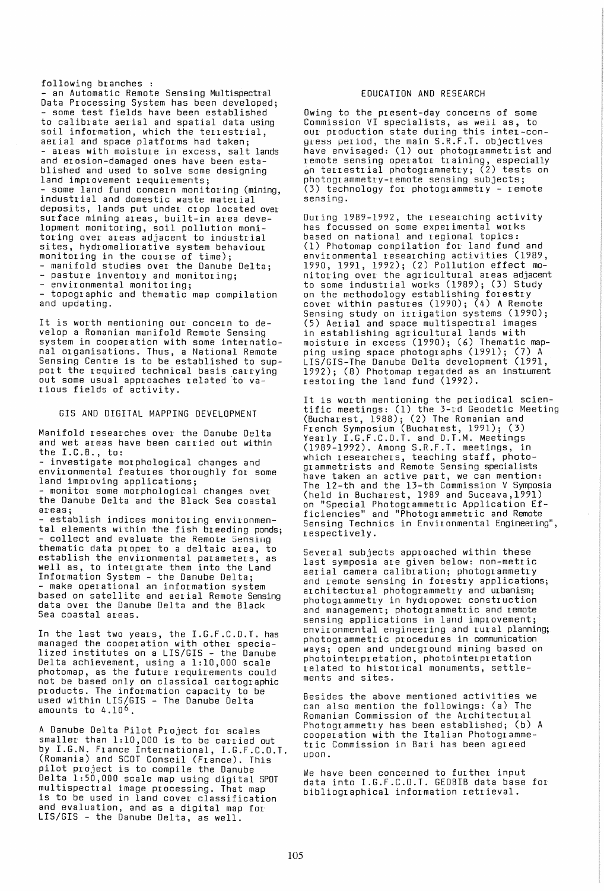following branches :<br>- an Automatic Remote Sensing Multispectral<br>Data Processing System has been developed; some test fields have been established to calibrate aerial and spatial data using soil information, which the terrestrial, aerial and space platforms had taken;<br>- areas with moisture in excess, salt lands and erosion-damaged ones have been established and used to solve some designing<br>land improvement requirements; some land fund concern monitoring (mining, industrial and domestic waste material deposits, lands put under crop located over surface mining areas, built-in area development monitoring, soil pollution monitoring over areas adjacent to industrial sites, hydromeliorative system behaviour monitoring in the course of time);<br>- manifold studies over the Danube Delta;<br>- pasture inventory and monitoring;<br>- environmental monitoring;<br>- topographic and thematic map compilation

and updating.

It is worth mentioning our concern to develop a Romanian manifold Remote Sensing system in cooperation with some international organisations. Thus, a National Remote Sensing Centre is to be established to support the required technical basis carrying out some usual approaches related 'to various fields of activity.

### GIS AND DIGITAL MAPPING DEVELOPMENT

Manifold researches over the Danube Delta and wet areas have been carried out within

- investigate morphological changes and environmental features thoroughly for some

- monitor some morphological changes over the Danube Delta and the Black Sea coastal ar'eas;

establish indices monitoring environmental elements within the fish breeding ponds;<br>- collect and evaluate the Remote Sensing thematic data proper to a deltaic area, to establish the environmental parameters, as well as, to intergrate them into the Land<br>Information System - the Danube Delta; **Information System** an information system based on satellite and aerial Remote Sensing data over the Danube Delta and the Black Sea coastal areas.

In the last two years, the I.G.F.C.O.T. has managed the cooperation with other specialized institutes on a LIS/GIS - the Danube Delta achievement, using a 1:10,000 scale photomap, as the future requirements could not be based only on classical cartographic products. The information capacity to be used within LIS/GIS - The Danube Delta<br>amounts to 4.10<sup>6</sup>.

A Danube Delta Pilot Project for scales smaller than 1:10,000 is to be carried out by I.G.N. France International, I.G.F.C.O.T. (Romania) and SCOT Conseil (France). This pilot project is to compile the Danube Delta 1:50,000 scale map using digital SPOT multispectral image processing. That map is to be used in land cover classification and evaluation, and as a digital map for LIS/GIS - the Danube Delta, as well.

## EDUCATION AND RESEARCH

Owing to the plesent-day concerns of some Commission VI specialists, as well as, to our production state during this intel-congress period, the main S.R.F.T. objectives have envisaged: (1) our photogrammetrist and remote sensing operator training, especially on terrestlial photogrammetry; (2) tests on photogrammetry-remote sensing subjects; (3) technology for photogrammetry - remote sensing.

During 1989-1992, the reseal ching activity has focussed on some experimental works based on national and regional topics: (1) Photomap compilation for land fund and environmental researching activities (1989, 1990, 1991, 1992); (2) Pollution effect monitoring over the agricultural areas adjacent to some industrial works (1989); (3) Study on the methodology establishing forestry cover within pastures (1990); (4) A Remote Sensing study on irrigation systems (1990); (5) Aerial and space multispectral images in establishing agricultural lands with moisture in excess (1990); (6) Thematic mapping using space photographs (1991); (7) A LIS/GIS-The Danube Delta development (1991, 1992); (8) Photomap regarded as an instrument restoring the land fund (1992).

It is worth mentioning the periodical scientific meetings: (1) the 3-rd Geodetic Meeting (Bucharest, 1988); (2) The Romanian and French Symposium (Bucharest, 1991); (3) Yearly I.G.F.C.O.T. and D.T.M. Meetings (1989-1992). Among S.R.F.T. meetings, in which researchers, teaching staff, photogrammetrists and Remote Sensing specialists have taken an active part, we can mention: The 12-th and the 13-th Commission V Symposia (held in Bucharest, 1989 and Suceava,199l) on "Special Photogrammetric Application Ef-f ici encies" and "Photogr ammetr ic and Remote Sensing Technics in Environmental Engineering", respectively.

Several subjects approached within these last symposia are given below: non-metric aerial camera calibration; photogrammetry and remote sensing in forestry applications; architectural photogrammetry and urbanism; photogrammetry in hydropower construction and management; photogrammetric and remote sensing applications in land improvement; environmental engineering and rural planning; photogr'ammetr ic pr ocedures in communication ways; open and underground mining based on photointerpretation, photointerpretation related to historical monuments, settlements and sites.

Besides the above mentioned activities we can also mention the followings: (a) The Romanian Commission of the Architectural Photogrammetry has been established; (b) A cooperation with the Italian Photogrammetric Commission in Bari has been agreed upon.

We have been concerned to further input data into I.G.F.C.O.T. GEOBIB data base for bibliographical information retrieval.